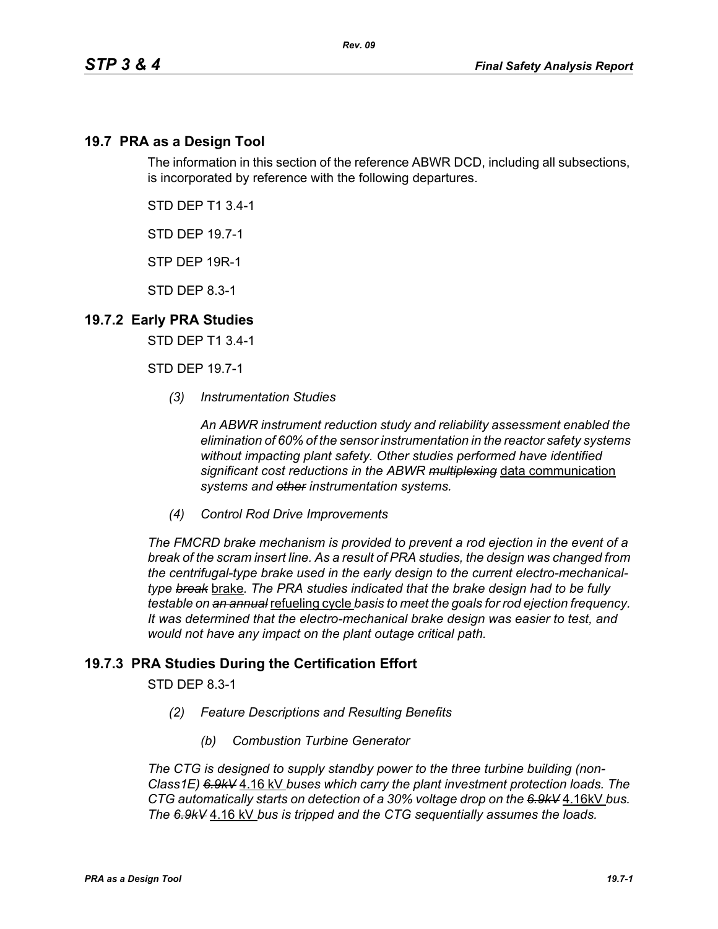## **19.7 PRA as a Design Tool**

The information in this section of the reference ABWR DCD, including all subsections, is incorporated by reference with the following departures.

STD DEP T1 3.4-1

STD DEP 19.7-1

STP DEP 19R-1

STD DEP 8.3-1

## **19.7.2 Early PRA Studies**

STD DEP T1 3.4-1

STD DEP 19.7-1

*(3) Instrumentation Studies*

*An ABWR instrument reduction study and reliability assessment enabled the elimination of 60% of the sensor instrumentation in the reactor safety systems without impacting plant safety. Other studies performed have identified significant cost reductions in the ABWR multiplexing* data communication *systems and other instrumentation systems.*

*(4) Control Rod Drive Improvements* 

*The FMCRD brake mechanism is provided to prevent a rod ejection in the event of a break of the scram insert line. As a result of PRA studies, the design was changed from the centrifugal-type brake used in the early design to the current electro-mechanicaltype break* brake*. The PRA studies indicated that the brake design had to be fully testable on an annual* refueling cycle *basis to meet the goals for rod ejection frequency. It was determined that the electro-mechanical brake design was easier to test, and would not have any impact on the plant outage critical path.*

## **19.7.3 PRA Studies During the Certification Effort**

STD DEP 8.3-1

- *(2) Feature Descriptions and Resulting Benefits* 
	- *(b) Combustion Turbine Generator*

*The CTG is designed to supply standby power to the three turbine building (non-Class1E) 6.9kV* 4.16 kV *buses which carry the plant investment protection loads. The CTG automatically starts on detection of a 30% voltage drop on the 6.9kV* 4.16kV *bus. The 6.9kV* 4.16 kV *bus is tripped and the CTG sequentially assumes the loads.*